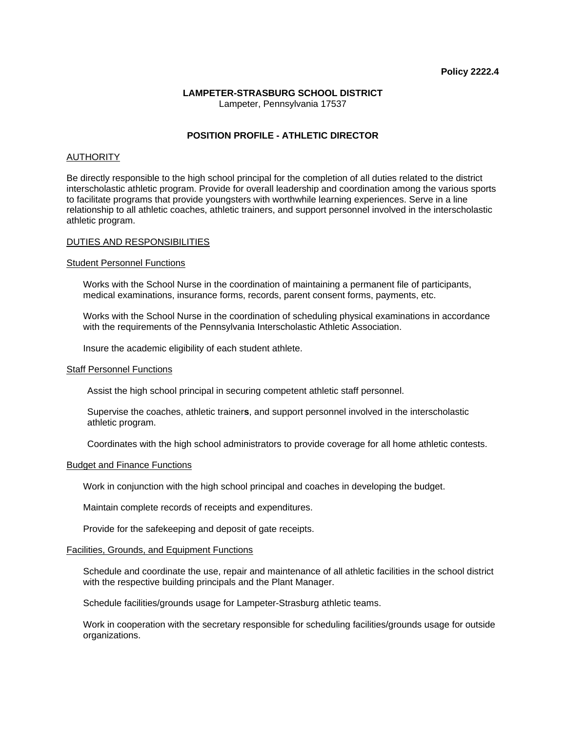# **LAMPETER-STRASBURG SCHOOL DISTRICT**

Lampeter, Pennsylvania 17537

# **POSITION PROFILE - ATHLETIC DIRECTOR**

# AUTHORITY

Be directly responsible to the high school principal for the completion of all duties related to the district interscholastic athletic program. Provide for overall leadership and coordination among the various sports to facilitate programs that provide youngsters with worthwhile learning experiences. Serve in a line relationship to all athletic coaches, athletic trainers, and support personnel involved in the interscholastic athletic program.

## DUTIES AND RESPONSIBILITIES

## Student Personnel Functions

 Works with the School Nurse in the coordination of maintaining a permanent file of participants, medical examinations, insurance forms, records, parent consent forms, payments, etc.

 Works with the School Nurse in the coordination of scheduling physical examinations in accordance with the requirements of the Pennsylvania Interscholastic Athletic Association.

Insure the academic eligibility of each student athlete.

#### Staff Personnel Functions

Assist the high school principal in securing competent athletic staff personnel.

 Supervise the coaches, athletic trainer**s**, and support personnel involved in the interscholastic athletic program.

Coordinates with the high school administrators to provide coverage for all home athletic contests.

#### Budget and Finance Functions

Work in conjunction with the high school principal and coaches in developing the budget.

Maintain complete records of receipts and expenditures.

Provide for the safekeeping and deposit of gate receipts.

#### Facilities, Grounds, and Equipment Functions

 Schedule and coordinate the use, repair and maintenance of all athletic facilities in the school district with the respective building principals and the Plant Manager.

Schedule facilities/grounds usage for Lampeter-Strasburg athletic teams.

 Work in cooperation with the secretary responsible for scheduling facilities/grounds usage for outside organizations.